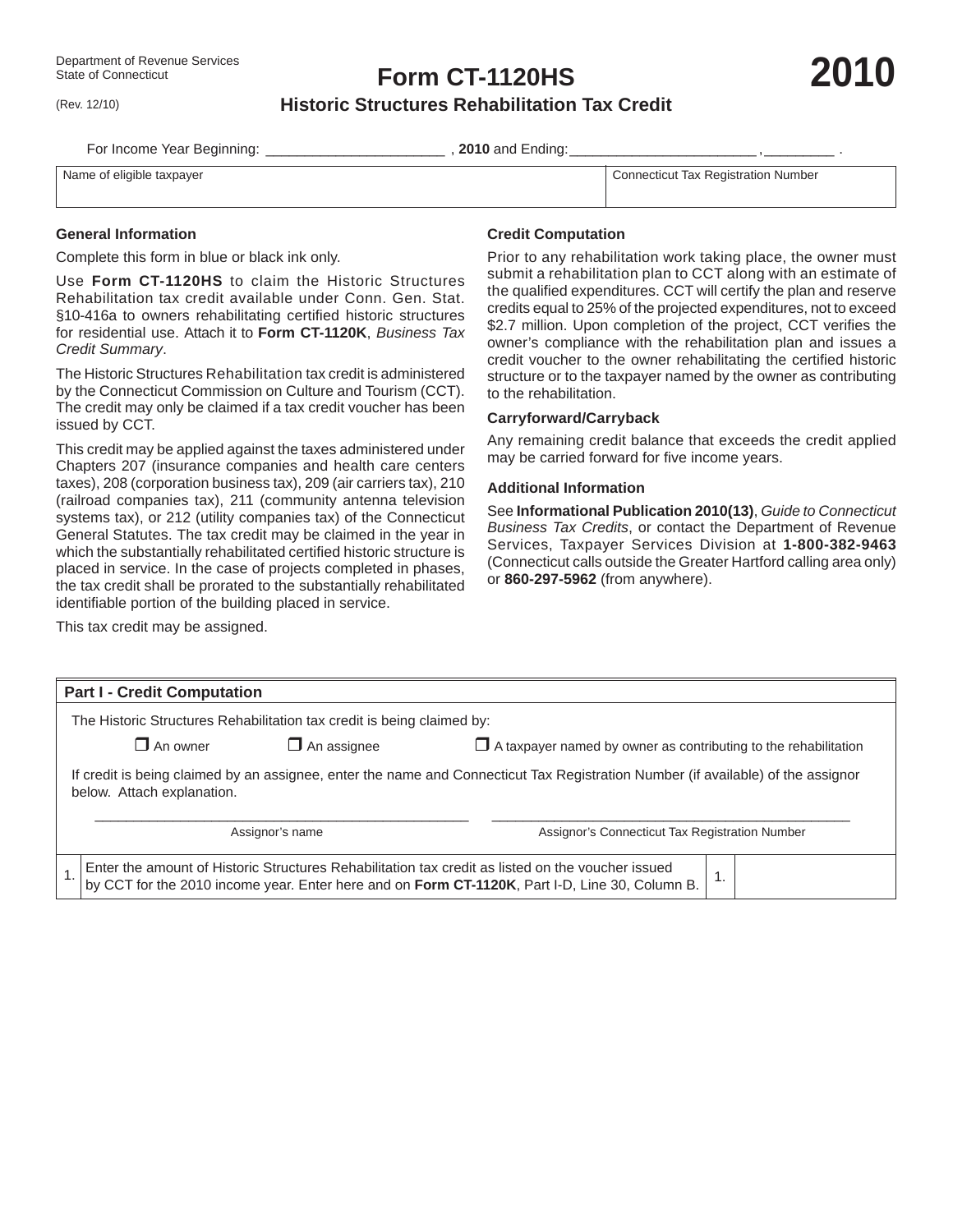(Rev. 12/10)

**Form CT-1120HS**

**2010**

## **Historic Structures Rehabilitation Tax Credit**

For Income Year Beginning: \_\_\_\_\_\_\_\_\_\_\_\_\_\_\_\_\_\_\_\_\_\_\_ , **2010** and Ending: \_\_\_\_\_\_\_\_\_\_\_\_\_\_\_\_\_\_\_\_\_\_\_\_ , \_\_\_\_\_\_\_\_\_ .

Name of eligible taxpayer Connecticut Tax Registration Number

#### **General Information**

Complete this form in blue or black ink only.

Use **Form CT-1120HS** to claim the Historic Structures Rehabilitation tax credit available under Conn. Gen. Stat. §10-416a to owners rehabilitating certified historic structures for residential use. Attach it to **Form CT-1120K**, *Business Tax Credit Summary*.

The Historic Structures Rehabilitation tax credit is administered by the Connecticut Commission on Culture and Tourism (CCT). The credit may only be claimed if a tax credit voucher has been issued by CCT.

This credit may be applied against the taxes administered under Chapters 207 (insurance companies and health care centers taxes), 208 (corporation business tax), 209 (air carriers tax), 210 (railroad companies tax), 211 (community antenna television systems tax), or 212 (utility companies tax) of the Connecticut General Statutes. The tax credit may be claimed in the year in which the substantially rehabilitated certified historic structure is placed in service. In the case of projects completed in phases, the tax credit shall be prorated to the substantially rehabilitated identifiable portion of the building placed in service.

This tax credit may be assigned.

### **Credit Computation**

Prior to any rehabilitation work taking place, the owner must submit a rehabilitation plan to CCT along with an estimate of the qualified expenditures. CCT will certify the plan and reserve credits equal to 25% of the projected expenditures, not to exceed \$2.7 million. Upon completion of the project, CCT verifies the owner's compliance with the rehabilitation plan and issues a credit voucher to the owner rehabilitating the certified historic structure or to the taxpayer named by the owner as contributing to the rehabilitation.

#### **Carryforward/Carryback**

Any remaining credit balance that exceeds the credit applied may be carried forward for five income years.

#### **Additional Information**

See **Informational Publication 2010(13)**, *Guide to Connecticut Business Tax Credits*, or contact the Department of Revenue Services, Taxpayer Services Division at **1-800-382-9463** (Connecticut calls outside the Greater Hartford calling area only) or **860-297-5962** (from anywhere).

| <b>Part I - Credit Computation</b>                                                                                                                                                                  |                                                                                              |                                                |  |  |  |  |  |  |  |
|-----------------------------------------------------------------------------------------------------------------------------------------------------------------------------------------------------|----------------------------------------------------------------------------------------------|------------------------------------------------|--|--|--|--|--|--|--|
| The Historic Structures Rehabilitation tax credit is being claimed by:                                                                                                                              |                                                                                              |                                                |  |  |  |  |  |  |  |
| $\Box$ An owner                                                                                                                                                                                     | $\Box$ An assignee<br>$\Box$ A taxpayer named by owner as contributing to the rehabilitation |                                                |  |  |  |  |  |  |  |
| If credit is being claimed by an assignee, enter the name and Connecticut Tax Registration Number (if available) of the assignor<br>below. Attach explanation.                                      |                                                                                              |                                                |  |  |  |  |  |  |  |
| Assignor's name                                                                                                                                                                                     |                                                                                              | Assignor's Connecticut Tax Registration Number |  |  |  |  |  |  |  |
| Enter the amount of Historic Structures Rehabilitation tax credit as listed on the voucher issued<br>by CCT for the 2010 income year. Enter here and on Form CT-1120K, Part I-D, Line 30, Column B. |                                                                                              |                                                |  |  |  |  |  |  |  |